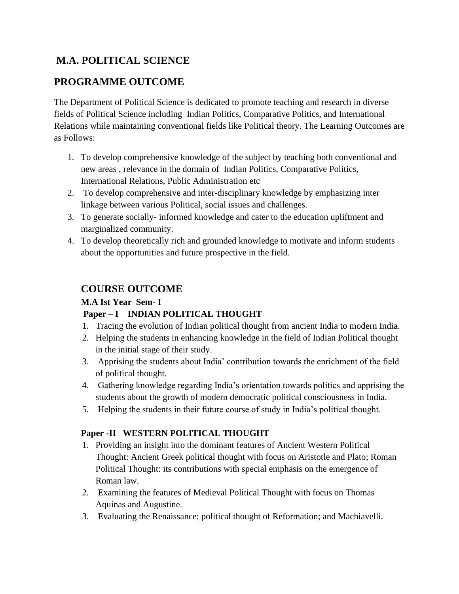# **M.A. POLITICAL SCIENCE**

# **PROGRAMME OUTCOME**

The Department of Political Science is dedicated to promote teaching and research in diverse fields of Political Science including Indian Politics, Comparative Politics, and International Relations while maintaining conventional fields like Political theory. The Learning Outcomes are as Follows:

- 1. To develop comprehensive knowledge of the subject by teaching both conventional and new areas , relevance in the domain of Indian Politics, Comparative Politics, International Relations, Public Administration etc
- 2. To develop comprehensive and inter-disciplinary knowledge by emphasizing inter linkage between various Political, social issues and challenges.
- 3. To generate socially- informed knowledge and cater to the education upliftment and marginalized community.
- 4. To develop theoretically rich and grounded knowledge to motivate and inform students about the opportunities and future prospective in the field.

# **COURSE OUTCOME**

# **M.A Ist Year Sem- I**

# **Paper – I INDIAN POLITICAL THOUGHT**

- 1. Tracing the evolution of Indian political thought from ancient India to modern India.
- 2. Helping the students in enhancing knowledge in the field of Indian Political thought in the initial stage of their study.
- 3. Apprising the students about India' contribution towards the enrichment of the field of political thought.
- 4. Gathering knowledge regarding India's orientation towards politics and apprising the students about the growth of modern democratic political consciousness in India.
- 5. Helping the students in their future course of study in India's political thought.

# **Paper -II WESTERN POLITICAL THOUGHT**

- 1. Providing an insight into the dominant features of Ancient Western Political Thought: Ancient Greek political thought with focus on Aristotle and Plato; Roman Political Thought: its contributions with special emphasis on the emergence of Roman law.
- 2. Examining the features of Medieval Political Thought with focus on Thomas Aquinas and Augustine.
- 3. Evaluating the Renaissance; political thought of Reformation; and Machiavelli.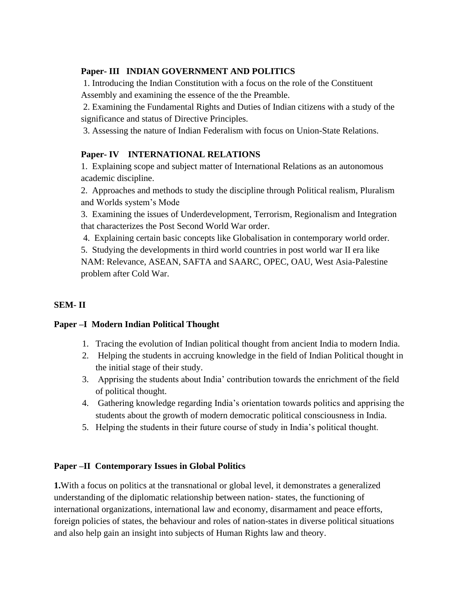## **Paper- III INDIAN GOVERNMENT AND POLITICS**

1. Introducing the Indian Constitution with a focus on the role of the Constituent Assembly and examining the essence of the the Preamble.

2. Examining the Fundamental Rights and Duties of Indian citizens with a study of the significance and status of Directive Principles.

3. Assessing the nature of Indian Federalism with focus on Union-State Relations.

# **Paper- IV INTERNATIONAL RELATIONS**

1. Explaining scope and subject matter of International Relations as an autonomous academic discipline.

2. Approaches and methods to study the discipline through Political realism, Pluralism and Worlds system's Mode

3. Examining the issues of Underdevelopment, Terrorism, Regionalism and Integration that characterizes the Post Second World War order.

4. Explaining certain basic concepts like Globalisation in contemporary world order. 5. Studying the developments in third world countries in post world war II era like

NAM: Relevance, ASEAN, SAFTA and SAARC, OPEC, OAU, West Asia-Palestine problem after Cold War.

### **SEM- II**

### **Paper –I Modern Indian Political Thought**

- 1. Tracing the evolution of Indian political thought from ancient India to modern India.
- 2. Helping the students in accruing knowledge in the field of Indian Political thought in the initial stage of their study.
- 3. Apprising the students about India' contribution towards the enrichment of the field of political thought.
- 4. Gathering knowledge regarding India's orientation towards politics and apprising the students about the growth of modern democratic political consciousness in India.
- 5. Helping the students in their future course of study in India's political thought.

### **Paper –II Contemporary Issues in Global Politics**

**1.**With a focus on politics at the transnational or global level, it demonstrates a generalized understanding of the diplomatic relationship between nation- states, the functioning of international organizations, international law and economy, disarmament and peace efforts, foreign policies of states, the behaviour and roles of nation-states in diverse political situations and also help gain an insight into subjects of Human Rights law and theory.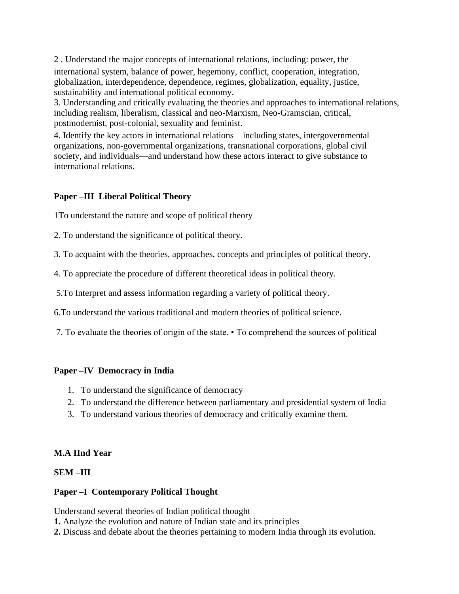2 . Understand the major concepts of international relations, including: power, the international system, balance of power, hegemony, conflict, cooperation, integration, globalization, interdependence, dependence, regimes, globalization, equality, justice, sustainability and international political economy.

3. Understanding and critically evaluating the theories and approaches to international relations, including realism, liberalism, classical and neo-Marxism, Neo-Gramscian, critical, postmodernist, post-colonial, sexuality and feminist.

4. Identify the key actors in international relations—including states, intergovernmental organizations, non-governmental organizations, transnational corporations, global civil society, and individuals—and understand how these actors interact to give substance to international relations.

### **Paper –III Liberal Political Theory**

1To understand the nature and scope of political theory

- 2. To understand the significance of political theory.
- 3. To acquaint with the theories, approaches, concepts and principles of political theory.
- 4. To appreciate the procedure of different theoretical ideas in political theory.
- 5.To Interpret and assess information regarding a variety of political theory.
- 6.To understand the various traditional and modern theories of political science.
- 7. To evaluate the theories of origin of the state. To comprehend the sources of political

#### **Paper –IV Democracy in India**

- 1. To understand the significance of democracy
- 2. To understand the difference between parliamentary and presidential system of India
- 3. To understand various theories of democracy and critically examine them.

#### **M.A IInd Year**

#### **SEM –III**

#### **Paper –I Contemporary Political Thought**

Understand several theories of Indian political thought

- **1.** Analyze the evolution and nature of Indian state and its principles
- **2.** Discuss and debate about the theories pertaining to modern India through its evolution.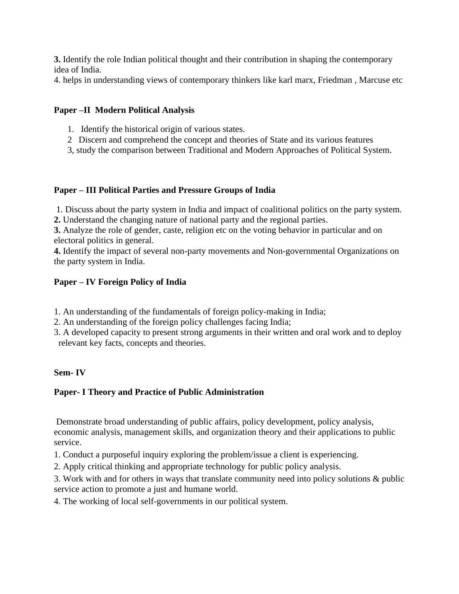**3.** Identify the role Indian political thought and their contribution in shaping the contemporary idea of India.

4. helps in understanding views of contemporary thinkers like karl marx, Friedman , Marcuse etc

## **Paper –II Modern Political Analysis**

- 1. Identify the historical origin of various states.
- 2Discern and comprehend the concept and theories of State and its various features
- 3, study the comparison between Traditional and Modern Approaches of Political System.

# **Paper – III Political Parties and Pressure Groups of India**

1. Discuss about the party system in India and impact of coalitional politics on the party system.

**2.** Understand the changing nature of national party and the regional parties.

**3.** Analyze the role of gender, caste, religion etc on the voting behavior in particular and on electoral politics in general.

**4.** Identify the impact of several non-party movements and Non-governmental Organizations on the party system in India.

# **Paper – IV Foreign Policy of India**

1. An understanding of the fundamentals of foreign policy-making in India;

2. An understanding of the foreign policy challenges facing India;

3. A developed capacity to present strong arguments in their written and oral work and to deploy relevant key facts, concepts and theories.

### **Sem- IV**

# **Paper- I Theory and Practice of Public Administration**

Demonstrate broad understanding of public affairs, policy development, policy analysis, economic analysis, management skills, and organization theory and their applications to public service.

1. Conduct a purposeful inquiry exploring the problem/issue a client is experiencing.

2. Apply critical thinking and appropriate technology for public policy analysis.

3. Work with and for others in ways that translate community need into policy solutions & public service action to promote a just and humane world.

4. The working of local self-governments in our political system.